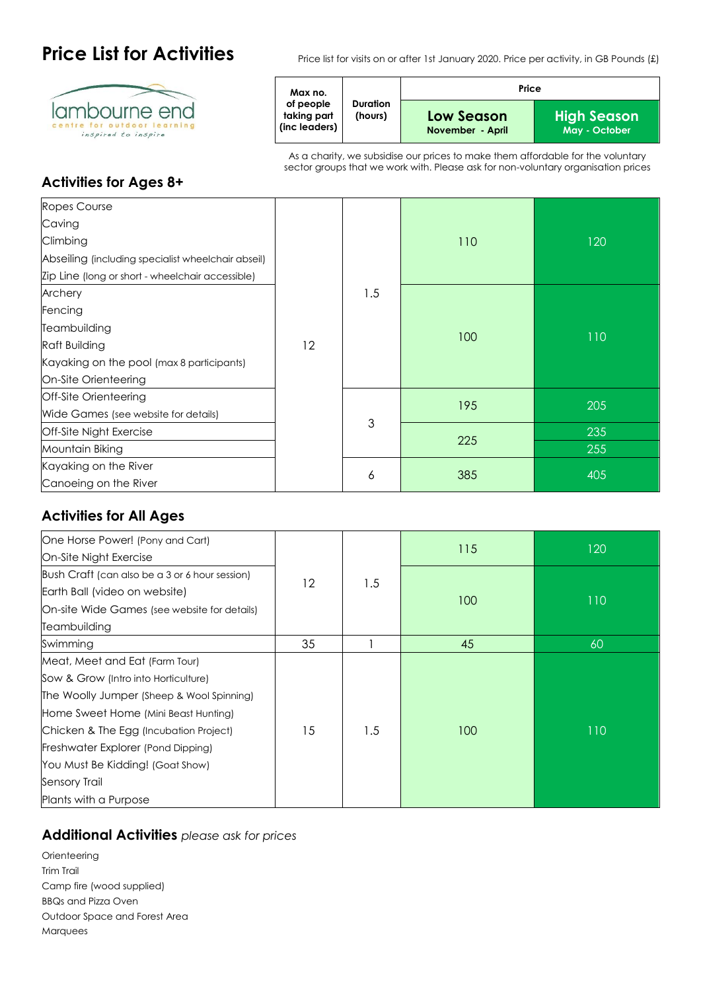

**Price List for Activities** Price list for visits on or after 1st January 2020. Price per activity, in GB Pounds (£)

| Max no.<br>of people<br><b>Duration</b><br>taking part<br>(hours)<br>(inc leaders) |                                | Price                        |  |  |
|------------------------------------------------------------------------------------|--------------------------------|------------------------------|--|--|
|                                                                                    | Low Season<br>November - April | High Season<br>May - October |  |  |

As a charity, we subsidise our prices to make them affordable for the voluntary sector groups that we work with. Please ask for non-voluntary organisation prices

## **Activities for Ages 8+**

| Ropes Course                                       |    |     |     |     |
|----------------------------------------------------|----|-----|-----|-----|
| Caving                                             |    |     |     |     |
| Climbing                                           |    |     | 110 | 120 |
| Abseiling (including specialist wheelchair abseil) |    |     |     |     |
| Zip Line (long or short - wheelchair accessible)   |    |     |     |     |
| Archery                                            |    | 1.5 |     |     |
| Fencing                                            |    |     | 100 | 110 |
| Teambuilding                                       |    |     |     |     |
| <b>Raft Building</b>                               | 12 |     |     |     |
| Kayaking on the pool (max 8 participants)          |    |     |     |     |
| On-Site Orienteering                               |    |     |     |     |
| Off-Site Orienteering                              |    |     |     |     |
| Wide Games (see website for details)               |    |     | 195 | 205 |
| Off-Site Night Exercise                            |    | 3   | 225 | 235 |
| Mountain Biking                                    |    |     |     | 255 |
| Kayaking on the River                              |    |     |     |     |
| Canoeing on the River                              |    | 6   | 385 | 405 |

## **Activities for All Ages**

| One Horse Power! (Pony and Cart)               |    |     |     |     |
|------------------------------------------------|----|-----|-----|-----|
| On-Site Night Exercise                         |    |     | 115 | 120 |
| Bush Craft (can also be a 3 or 6 hour session) | 12 |     |     |     |
| Earth Ball (video on website)                  |    | 1.5 |     |     |
| On-site Wide Games (see website for details)   |    |     | 100 | 110 |
| Teambuilding                                   |    |     |     |     |
| Swimming                                       | 35 |     | 45  | 60  |
| Meat, Meet and Eat (Farm Tour)                 |    |     |     |     |
| Sow & Grow (Intro into Horticulture)           |    |     |     |     |
| The Woolly Jumper (Sheep & Wool Spinning)      |    |     |     |     |
| Home Sweet Home (Mini Beast Hunting)           |    |     |     |     |
| Chicken & The Egg (Incubation Project)         | 15 | 1.5 | 100 | 110 |
| Freshwater Explorer (Pond Dipping)             |    |     |     |     |
| You Must Be Kidding! (Goat Show)               |    |     |     |     |
| Sensory Trail                                  |    |     |     |     |
| Plants with a Purpose                          |    |     |     |     |

## **Additional Activities** *please ask for prices*

**Orienteering** Trim Trail Camp fire (wood supplied) BBQs and Pizza Oven Outdoor Space and Forest Area Marquees